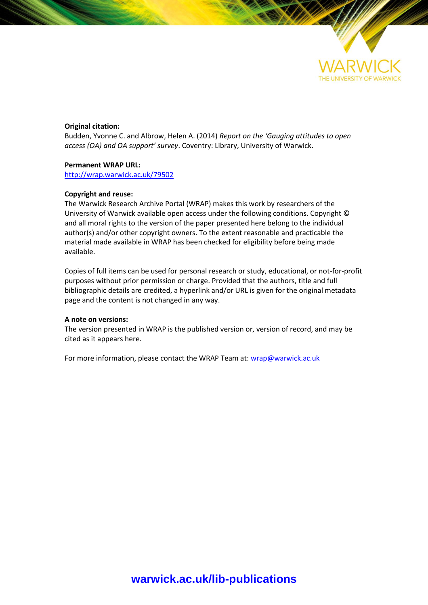

#### **Original citation:**

Budden, Yvonne C. and Albrow, Helen A. (2014) *Report on the 'Gauging attitudes to open access (OA) and OA support' survey*. Coventry: Library, University of Warwick.

#### **Permanent WRAP URL:**

<http://wrap.warwick.ac.uk/79502>

#### **Copyright and reuse:**

The Warwick Research Archive Portal (WRAP) makes this work by researchers of the University of Warwick available open access under the following conditions. Copyright © and all moral rights to the version of the paper presented here belong to the individual author(s) and/or other copyright owners. To the extent reasonable and practicable the material made available in WRAP has been checked for eligibility before being made available.

Copies of full items can be used for personal research or study, educational, or not-for-profit purposes without prior permission or charge. Provided that the authors, title and full bibliographic details are credited, a hyperlink and/or URL is given for the original metadata page and the content is not changed in any way.

#### **A note on versions:**

The version presented in WRAP is the published version or, version of record, and may be cited as it appears here.

For more information, please contact the WRAP Team at[: wrap@warwick.ac.uk](mailto:wrap@warwick.ac.uk)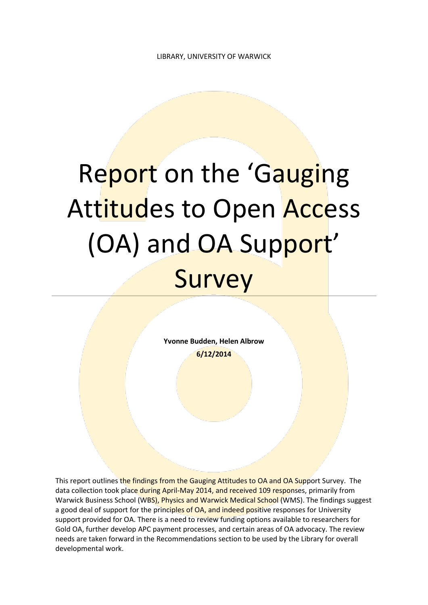# Report on the 'Gauging Attitudes to Open Access (OA) and OA Support' Survey

**Yvonne Budden, Helen Albrow 6/12/2014**

This report outlines the findings from the Gauging Attitudes to OA and OA Support Survey. The data collection took place during April-May 2014, and received 109 responses, primarily from Warwick Business School (WBS), Physics and Warwick Medical School (WMS). The findings suggest a good deal of support for the principles of OA, and indeed positive responses for University support provided for OA. There is a need to review funding options available to researchers for Gold OA, further develop APC payment processes, and certain areas of OA advocacy. The review needs are taken forward in the Recommendations section to be used by the Library for overall developmental work.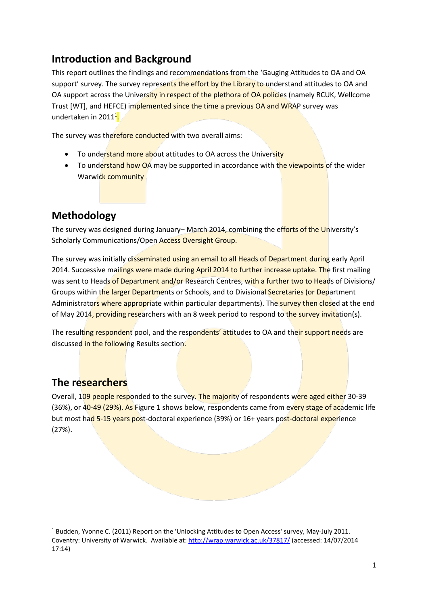# **Introduction and Background**

This report outlines the findings and recommendations from the 'Gauging Attitudes to OA and OA support' survey. The survey represents the effort by the Library to understand attitudes to OA and OA support across the University in respect of the plethora of OA policies (namely RCUK, Wellcome Trust [WT], and HEFCE) implemented since the time a previous OA and WRAP survey was undertaken in 2011<sup>1</sup>.

The survey was therefore conducted with two overall aims:

- To understand more about attitudes to OA across the University
- To understand how OA may be supported in accordance with the viewpoints of the wider Warwick community

# **Methodology**

The survey was designed during January-March 2014, combining the efforts of the University's Scholarly Communications/Open Access Oversight Group.

The survey was initially disseminated using an email to all Heads of Department during early April 2014. Successive mailings were made during April 2014 to further increase uptake. The first mailing was sent to Heads of Department and/or Research Centres, with a further two to Heads of Divisions/ Groups within the larger Departments or Schools, and to Divisional Secretaries (or Department Administrators where appropriate within particular departments). The survey then closed at the end of May 2014, providing researchers with an 8 week period to respond to the survey invitation(s).

The resulting respondent pool, and the respondents' attitudes to OA and their support needs are discussed in the following Results section.

# **The researchers**

**.** 

Overall, 109 people responded to the survey. The majority of respondents were aged either 30-39 (36%), or 40-49 (29%). As Figure 1 shows below, respondents came from every stage of academic life but most had 5-15 years post-doctoral experience (39%) or 16+ years post-doctoral experience (27%).

<sup>1</sup> Budden, Yvonne C. (2011) Report on the 'Unlocking Attitudes to Open Access' survey, May-July 2011. Coventry: University of Warwick. Available at:<http://wrap.warwick.ac.uk/37817/> (accessed: 14/07/2014 17:14)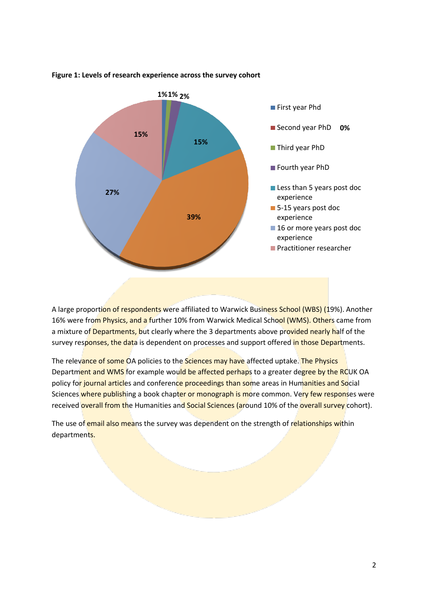

## **Figure 1: Levels of research experience across the survey cohort**

A large proportion of respondents were affiliated to Warwick Business School (WBS) (19%). Another 16% were from Physics, and a further 10% from Warwick Medical School (WMS). Others came from a mixture of Departments, but clearly where the 3 departments above provided nearly half of the survey responses, the data is dependent on processes and support offered in those Departments.

The relevance of some OA policies to the Sciences may have affected uptake. The Physics Department and WMS for example would be affected perhaps to a greater degree by the RCUK OA policy for journal articles and conference proceedings than some areas in Humanities and Social Sciences where publishing a book chapter or monograph is more common. Very few responses were received overall from the Humanities and Social Sciences (around 10% of the overall survey cohort).

The use of email also means the survey was dependent on the strength of relationships within departments.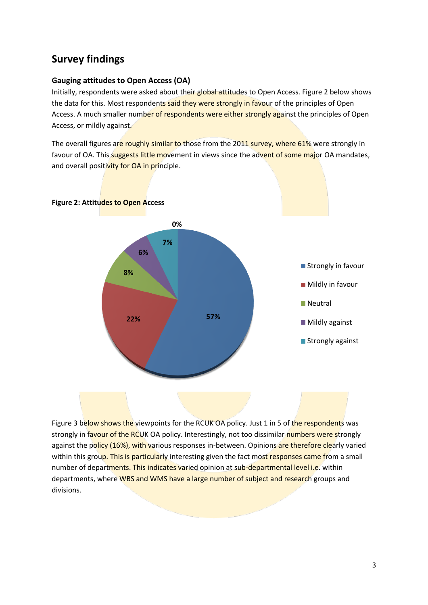# **Survey findings**

## **Gauging attitudes to Open Access (OA)**

Initially, respondents were asked about their global attitudes to Open Access. Figure 2 below shows the data for this. Most respondents said they were strongly in favour of the principles of Open Access. A much smaller number of respondents were either strongly against the principles of Open Access, or mildly against.

The overall figures are roughly similar to those from the 2011 survey, where 61% were strongly in favour of OA. This suggests little movement in views since the advent of some major OA mandates, and overall positivity for OA in principle.





Figure 3 below shows the viewpoints for the RCUK OA policy. Just 1 in 5 of the respondents was strongly in favour of the RCUK OA policy. Interestingly, not too dissimilar numbers were strongly against the policy (16%), with various responses in-between. Opinions are therefore clearly varied within this group. This is particularly interesting given the fact most responses came from a small number of departments. This indicates varied opinion at sub-departmental level i.e. within departments, where WBS and WMS have a large number of subject and research groups and divisions.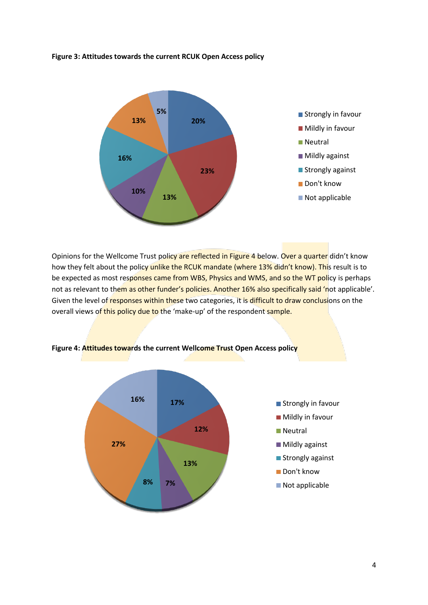#### **Figure 3: Attitudes towards the current RCUK Open Access policy**



Opinions for the Wellcome Trust policy are reflected in Figure 4 below. Over a quarter didn't know how they felt about the policy unlike the RCUK mandate (where 13% didn't know). This result is to be expected as most responses came from WBS, Physics and WMS, and so the WT policy is perhaps not as relevant to them as other funder's policies. Another 16% also specifically said 'not applicable'. Given the level of responses within these two categories, it is difficult to draw conclusions on the overall views of this policy due to the 'make-up' of the respondent sample.



**Figure 4: Attitudes towards the current Wellcome Trust Open Access policy**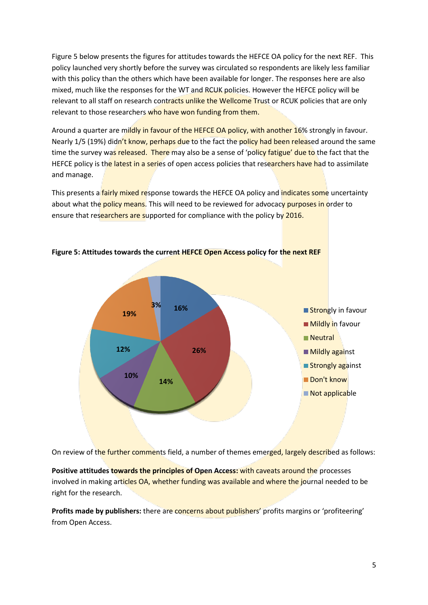Figure 5 below presents the figures for attitudes towards the HEFCE OA policy for the next REF. This policy launched very shortly before the survey was circulated so respondents are likely less familiar with this policy than the others which have been available for longer. The responses here are also mixed, much like the responses for the WT and RCUK policies. However the HEFCE policy will be relevant to all staff on research contracts unlike the Wellcome Trust or RCUK policies that are only relevant to those researchers who have won funding from them.

Around a quarter are mildly in favour of the HEFCE OA policy, with another 16% strongly in favour. Nearly 1/5 (19%) didn't know, perhaps due to the fact the policy had been released around the same time the survey was released. There may also be a sense of 'policy fatigue' due to the fact that the HEFCE policy is the latest in a series of open access policies that researchers have had to assimilate and manage.

This presents a **fairly mixed re**sponse towards the HEFCE OA policy and *indicates some uncertainty* about what the policy means. This will need to be reviewed for advocacy purposes in order to ensure that researchers are supported for compliance with the policy by 2016.



**Figure 5: Attitudes towards the current HEFCE Open Access policy for the next REF**

On review of the further comments field, a number of themes emerged, largely described as follows:

**Positive attitudes towards the principles of Open Access:** with caveats around the processes involved in making articles OA, whether funding was available and where the journal needed to be right for the research.

**Profits made by publishers:** there are concerns about publishers' profits margins or 'profiteering' from Open Access.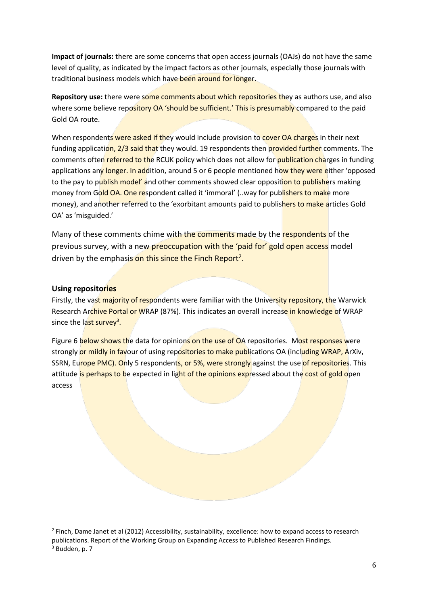**Impact of journals:** there are some concerns that open access journals (OAJs) do not have the same level of quality, as indicated by the impact factors as other journals, especially those journals with traditional business models which have been around for longer.

**Repository use:** there were some comments about which repositories they as authors use, and also where some believe repository OA 'should be sufficient.' This is presumably compared to the paid Gold OA route.

When respondents were asked if they would include provision to cover OA charges in their next funding application, 2/3 said that they would. 19 respondents then provided further comments. The comments often referred to the RCUK policy which does not allow for **publication charges** in funding applications any longer. In addition, around 5 or 6 people mentioned how they were either 'opposed to the pay to publish model' and other comments showed clear opposition to publishers making money from Gold OA. One respondent called it 'immoral' (..way for publishers to make more money), and another referred to the 'exorbitant amounts paid to publishers to make articles Gold OA' as 'misguided.'

Many of these comments chime with the comments made by the respondents of the previous survey, with a new preoccupation with the 'paid for' gold open access model driven by the emphasis on this since the Finch Report<sup>2</sup>.

# **Using repositories**

**.** 

Firstly, the vast majority of respondents were familiar with the University repository, the Warwick Research Archive Portal or WRAP (87%). This indicates an overall increase in knowledge of WRAP since the last survey<sup>3</sup>.

Figure 6 below shows the data for opinions on the use of OA repositories. Most responses were strongly or mildly in favour of using repositories to make publications OA (including WRAP, ArXiv, SSRN, Europe PMC). Only 5 respondents, or 5%, were strongly against the use of repositories. This attitude is perhaps to be expected in light of the opinions expressed about the cost of gold open access

<sup>&</sup>lt;sup>2</sup> Finch, Dame Janet et al (2012) Accessibility, sustainability, excellence: how to expand access to research publications. Report of the Working Group on Expanding Access to Published Research Findings. <sup>3</sup> Budden, p. 7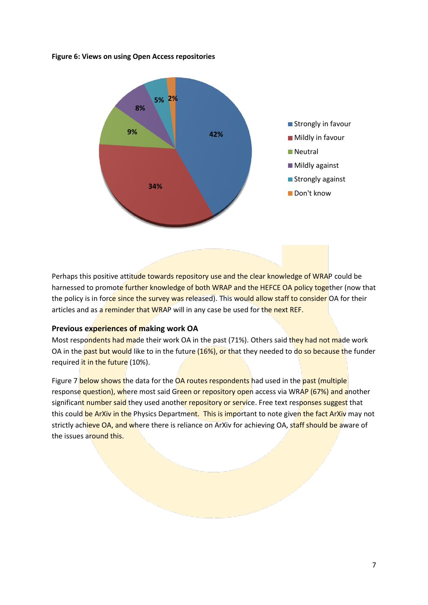#### **Figure 6: Views on using Open Access repositories**



Perhaps this positive attitude towards repository use and the clear knowledge of WRAP could be harnessed to promote further knowledge of both WRAP and the HEFCE OA policy together (now that the policy is in force since the survey was released). This would allow staff to consider OA for their articles and as a reminder that WRAP will in any case be used for the next REF.

#### **Previous experiences of making work OA**

Most respondents had made their work OA in the past (71%). Others said they had not made work OA in the past but would like to in the future (16%), or that they needed to do so because the funder required it in the future (10%).

Figure 7 below shows the data for the OA routes respondents had used in the past (multiple response question), where most said Green or repository open access via WRAP (67%) and another significant number said they used another repository or service. Free text responses suggest that this could be ArXiv in the Physics Department. This is important to note given the fact ArXiv may not strictly achieve OA, and where there is reliance on ArXiv for achieving OA, staff should be aware of the issues around this.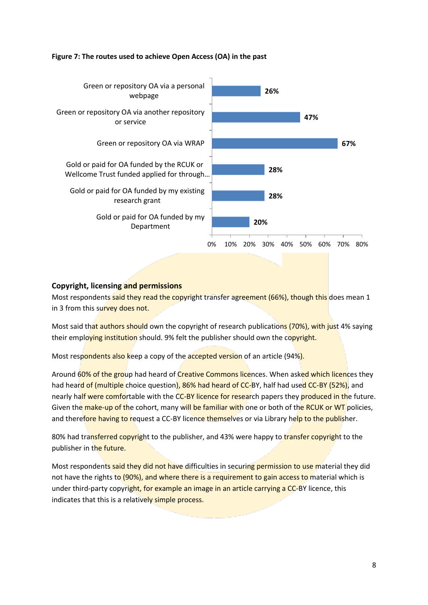#### **Figure 7: The routes used to achieve Open Access (OA) in the past**



# **Copyright, licensing and permissions**

Most respondents said they read the copyright transfer agreement (66%), though this does mean 1 in 3 from this survey does not.

Most said that authors should own the copyright of research publications (70%), with just 4% saying their employing institution should. 9% felt the publisher should own the copyright.

Most respondents also keep a copy of the accepted version of an article (94%).

Around 60% of the group had heard of Creative Commons licences. When asked which licences they had heard of (multiple choice question), 86% had heard of CC-BY, half had used CC-BY (52%), and nearly half were comfortable with the CC-BY licence for research papers they produced in the future. Given the make-up of the cohort, many will be familiar with one or both of the RCUK or WT policies, and therefore having to request a CC-BY licence themselves or via Library help to the publisher.

80% had transferred copyright to the publisher, and 43% were happy to transfer copyright to the publisher in the future.

Most respondents said they did not have difficulties in securing permission to use material they did not have the rights to (90%), and where there is a requirement to gain access to material which is under third-party copyright, for example an image in an article carrying a CC-BY licence, this indicates that this is a relatively simple process.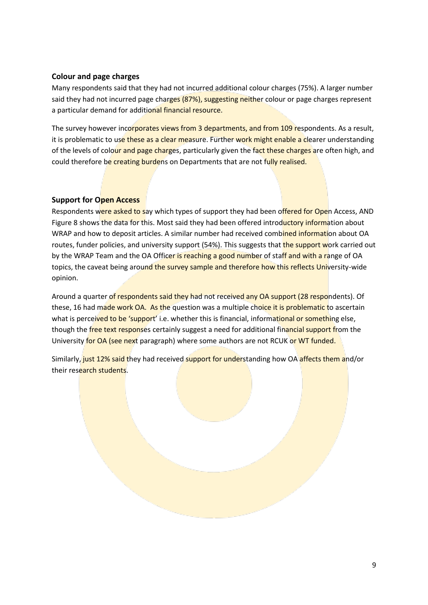## **Colour and page charges**

Many respondents said that they had not incurred additional colour charges (75%). A larger number said they had not incurred page charges (87%), suggesting neither colour or page charges represent a particular demand for additional financial resource.

The survey however incorporates views from 3 departments, and from 109 respondents. As a result, it is problematic to use these as a clear measure. Further work might enable a clearer understanding of the levels of colour and page charges, particularly given the fact these charges are often high, and could therefore be creating burdens on Departments that are not fully realised.

## **Support for Open Access**

Respondents were asked to say which types of support they had been offered for Open Access, AND Figure 8 shows the data for this. Most said they had been offered introductory information about WRAP and how to deposit articles. A similar number had received combined information about OA routes, funder policies, and university support (54%). This suggests that the support work carried out by the WRAP Team and the OA Officer is reaching a good number of staff and with a range of OA topics, the caveat being around the survey sample and therefore how this reflects University-wide opinion.

Around a quarter of respondents said they had not received any OA support (28 respondents). Of these, 16 had made work OA. As the question was a multiple choice it is problematic to ascertain what is perceived to be 'support' i.e. whether this is financial, informational or something else, though the free text responses certainly suggest a need for additional financial support from the University for OA (see next paragraph) where some authors are not RCUK or WT funded.

Similarly, just 12% said they had received support for understanding how OA affects them and/or their research students.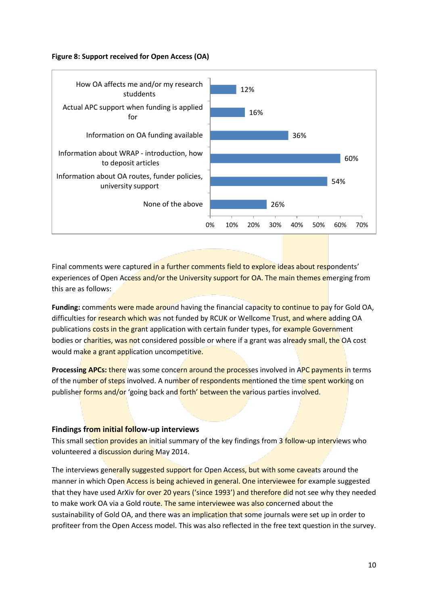#### **Figure 8: Support received for Open Access (OA)**



Final comments were captured in a further comments field to explore ideas about respondents' experiences of Open Access and/or the University support for OA. The main themes emerging from this are as follows:

**Funding:** comments were made around having the financial capacity to continue to pay for Gold OA, difficulties for research which was not funded by RCUK or Wellcome Trust, and where adding OA publications costs in the grant application with certain funder types, for example Government bodies or charities, was not considered possible or where if a grant was already small, the OA cost would make a grant application uncompetitive.

**Processing APCs:** there was some concern around the processes involved in APC payments in terms of the number of steps involved. A number of respondents mentioned the time spent working on publisher forms and/or 'going back and forth' between the various parties involved.

#### **Findings from initial follow-up interviews**

This small section provides an initial summary of the key findings from 3 follow-up interviews who volunteered a discussion during May 2014.

The interviews generally suggested support for Open Access, but with some caveats around the manner in which Open Access is being achieved in general. One interviewee for example suggested that they have used ArXiv for over 20 years ('since 1993') and therefore did not see why they needed to make work OA via a Gold route. The same interviewee was also concerned about the sustainability of Gold OA, and there was an implication that some journals were set up in order to profiteer from the Open Access model. This was also reflected in the free text question in the survey.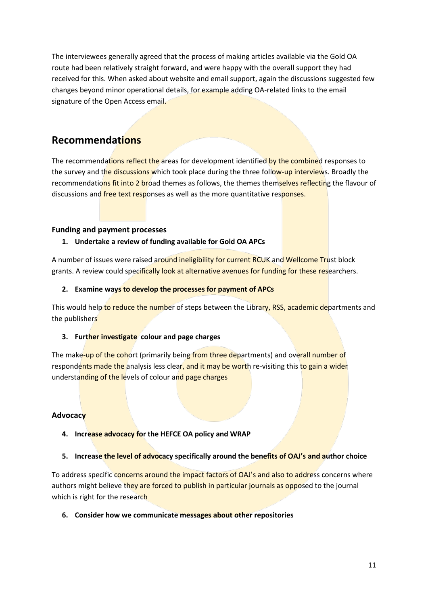The interviewees generally agreed that the process of making articles available via the Gold OA route had been relatively straight forward, and were happy with the overall support they had received for this. When asked about website and email support, again the discussions suggested few changes beyond minor operational details, for example adding OA-related links to the email signature of the Open Access email.

# **Recommendations**

The recommendations reflect the areas for development identified by the combined responses to the survey and the discussions which took place during the three follow-up interviews. Broadly the recommendations fit into 2 broad themes as follows, the themes themselves reflecting the flavour of discussions and free text responses as well as the more quantitative responses.

# **Funding and payment processes**

# **1. Undertake a review of funding available for Gold OA APCs**

A number of issues were raised around ineligibility for current RCUK and Wellcome Trust block grants. A review could specifically look at alternative avenues for funding for these researchers.

# **2. Examine ways to develop the processes for payment of APCs**

This would help to reduce the number of steps between the Library, RSS, academic departments and the publishers

# **3. Further investigate colour and page charges**

The make-up of the cohort (primarily being from three departments) and overall number of respondents made the analysis less clear, and it may be worth re-visiting this to gain a wider understanding of the levels of colour and page charges

# **Advocacy**

**4. Increase advocacy for the HEFCE OA policy and WRAP**

# **5. Increase the level of advocacy specifically around the benefits of OAJ's and author choice**

To address specific concerns around the impact factors of OAJ's and also to address concerns where authors might believe they are forced to publish in particular journals as opposed to the journal which is right for the research

# **6. Consider how we communicate messages about other repositories**